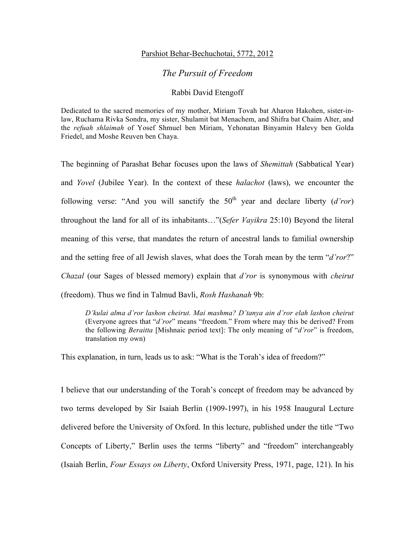## Parshiot Behar-Bechuchotai, 5772, 2012

## *The Pursuit of Freedom*

## Rabbi David Etengoff

Dedicated to the sacred memories of my mother, Miriam Tovah bat Aharon Hakohen, sister-inlaw, Ruchama Rivka Sondra, my sister, Shulamit bat Menachem, and Shifra bat Chaim Alter, and the *refuah shlaimah* of Yosef Shmuel ben Miriam, Yehonatan Binyamin Halevy ben Golda Friedel, and Moshe Reuven ben Chaya.

The beginning of Parashat Behar focuses upon the laws of *Shemittah* (Sabbatical Year) and *Yovel* (Jubilee Year). In the context of these *halachot* (laws), we encounter the following verse: "And you will sanctify the  $50<sup>th</sup>$  year and declare liberty  $(d'ror)$ throughout the land for all of its inhabitants…"(*Sefer Vayikra* 25:10) Beyond the literal meaning of this verse, that mandates the return of ancestral lands to familial ownership and the setting free of all Jewish slaves, what does the Torah mean by the term "*d'ror*?" *Chazal* (our Sages of blessed memory) explain that *d'ror* is synonymous with *cheirut* (freedom). Thus we find in Talmud Bavli, *Rosh Hashanah* 9b:

*D'kulai alma d'ror lashon cheirut. Mai mashma? D'tanya ain d'ror elah lashon cheirut* (Everyone agrees that "*d'ror*" means "freedom." From where may this be derived? From the following *Beraitta* [Mishnaic period text]: The only meaning of "*d'ror*" is freedom, translation my own)

This explanation, in turn, leads us to ask: "What is the Torah's idea of freedom?"

I believe that our understanding of the Torah's concept of freedom may be advanced by two terms developed by Sir Isaiah Berlin (1909-1997), in his 1958 Inaugural Lecture delivered before the University of Oxford. In this lecture, published under the title "Two Concepts of Liberty," Berlin uses the terms "liberty" and "freedom" interchangeably (Isaiah Berlin, *Four Essays on Liberty*, Oxford University Press, 1971, page, 121). In his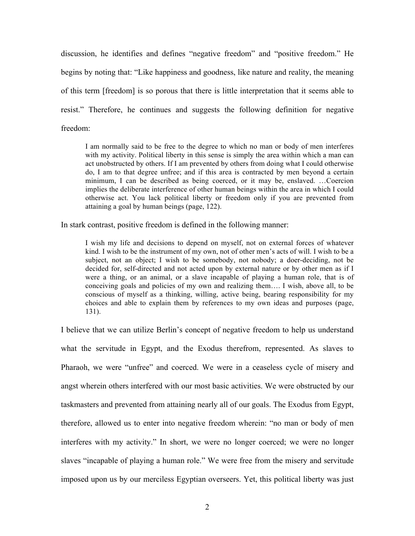discussion, he identifies and defines "negative freedom" and "positive freedom." He begins by noting that: "Like happiness and goodness, like nature and reality, the meaning of this term [freedom] is so porous that there is little interpretation that it seems able to resist." Therefore, he continues and suggests the following definition for negative freedom:

I am normally said to be free to the degree to which no man or body of men interferes with my activity. Political liberty in this sense is simply the area within which a man can act unobstructed by others. If I am prevented by others from doing what I could otherwise do, I am to that degree unfree; and if this area is contracted by men beyond a certain minimum, I can be described as being coerced, or it may be, enslaved. …Coercion implies the deliberate interference of other human beings within the area in which I could otherwise act. You lack political liberty or freedom only if you are prevented from attaining a goal by human beings (page, 122).

In stark contrast, positive freedom is defined in the following manner:

I wish my life and decisions to depend on myself, not on external forces of whatever kind. I wish to be the instrument of my own, not of other men's acts of will. I wish to be a subject, not an object; I wish to be somebody, not nobody; a doer-deciding, not be decided for, self-directed and not acted upon by external nature or by other men as if I were a thing, or an animal, or a slave incapable of playing a human role, that is of conceiving goals and policies of my own and realizing them…. I wish, above all, to be conscious of myself as a thinking, willing, active being, bearing responsibility for my choices and able to explain them by references to my own ideas and purposes (page, 131).

I believe that we can utilize Berlin's concept of negative freedom to help us understand what the servitude in Egypt, and the Exodus therefrom, represented. As slaves to Pharaoh, we were "unfree" and coerced. We were in a ceaseless cycle of misery and angst wherein others interfered with our most basic activities. We were obstructed by our taskmasters and prevented from attaining nearly all of our goals. The Exodus from Egypt, therefore, allowed us to enter into negative freedom wherein: "no man or body of men interferes with my activity." In short, we were no longer coerced; we were no longer slaves "incapable of playing a human role." We were free from the misery and servitude imposed upon us by our merciless Egyptian overseers. Yet, this political liberty was just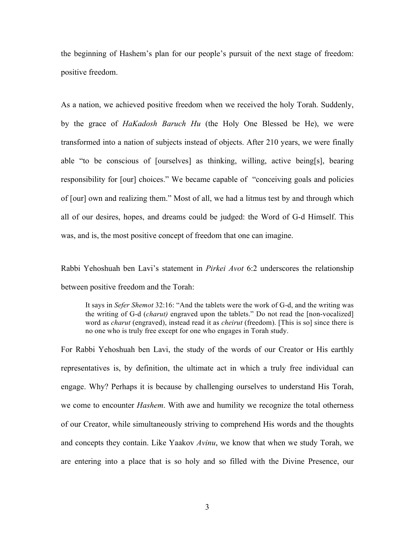the beginning of Hashem's plan for our people's pursuit of the next stage of freedom: positive freedom.

As a nation, we achieved positive freedom when we received the holy Torah. Suddenly, by the grace of *HaKadosh Baruch Hu* (the Holy One Blessed be He), we were transformed into a nation of subjects instead of objects. After 210 years, we were finally able "to be conscious of [ourselves] as thinking, willing, active being[s], bearing responsibility for [our] choices." We became capable of "conceiving goals and policies of [our] own and realizing them." Most of all, we had a litmus test by and through which all of our desires, hopes, and dreams could be judged: the Word of G-d Himself. This was, and is, the most positive concept of freedom that one can imagine.

Rabbi Yehoshuah ben Lavi's statement in *Pirkei Avot* 6:2 underscores the relationship between positive freedom and the Torah:

It says in *Sefer Shemot* 32:16: "And the tablets were the work of G-d, and the writing was the writing of G-d (*charut)* engraved upon the tablets." Do not read the [non-vocalized] word as *charut* (engraved), instead read it as *cheirut* (freedom). [This is so] since there is no one who is truly free except for one who engages in Torah study.

For Rabbi Yehoshuah ben Lavi, the study of the words of our Creator or His earthly representatives is, by definition, the ultimate act in which a truly free individual can engage. Why? Perhaps it is because by challenging ourselves to understand His Torah, we come to encounter *Hashem*. With awe and humility we recognize the total otherness of our Creator, while simultaneously striving to comprehend His words and the thoughts and concepts they contain. Like Yaakov *Avinu*, we know that when we study Torah, we are entering into a place that is so holy and so filled with the Divine Presence, our